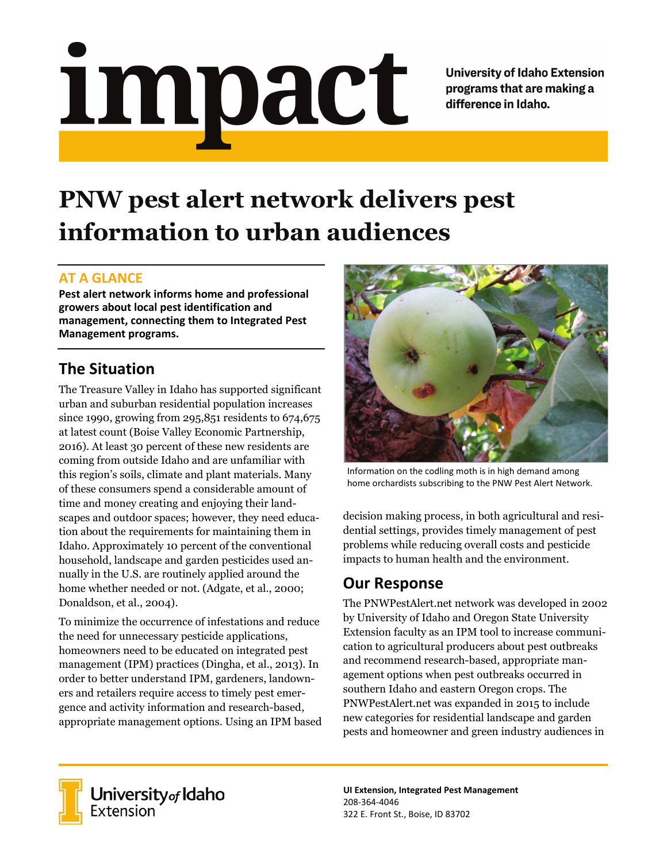# <u>impact</u>

**University of Idaho Extension** programs that are making a difference in Idaho.

# **PNW pest alert network delivers pest information to urban audiences**

#### **AT A GLANCE**

**Pest alert network informs home and professional growers about local pest identification and management, connecting them to Integrated Pest Management programs.**

# **The Situation**

The Treasure Valley in Idaho has supported significant urban and suburban residential population increases since 1990, growing from 295,851 residents to 674,675 at latest count (Boise Valley Economic Partnership, 2016). At least 30 percent of these new residents are coming from outside Idaho and are unfamiliar with this region's soils, climate and plant materials. Many of these consumers spend a considerable amount of time and money creating and enjoying their landscapes and outdoor spaces; however, they need education about the requirements for maintaining them in Idaho. Approximately 10 percent of the conventional household, landscape and garden pesticides used annually in the U.S. are routinely applied around the home whether needed or not. (Adgate, et al., 2000; Donaldson, et al., 2004).

To minimize the occurrence of infestations and reduce the need for unnecessary pesticide applications, homeowners need to be educated on integrated pest management (IPM) practices (Dingha, et al., 2013). In order to better understand IPM, gardeners, landowners and retailers require access to timely pest emergence and activity information and research-based, appropriate management options. Using an IPM based



Information on the codling moth is in high demand among home orchardists subscribing to the PNW Pest Alert Network.

decision making process, in both agricultural and residential settings, provides timely management of pest problems while reducing overall costs and pesticide impacts to human health and the environment.

## **Our Response**

The PNWPestAlert.net network was developed in 2002 by University of Idaho and Oregon State University Extension faculty as an IPM tool to increase communication to agricultural producers about pest outbreaks and recommend research-based, appropriate management options when pest outbreaks occurred in southern Idaho and eastern Oregon crops. The PNWPestAlert.net was expanded in 2015 to include new categories for residential landscape and garden pests and homeowner and green industry audiences in



University of Idaho<br>Extension

**UI Extension, Integrated Pest Management** 208-364-4046 322 E. Front St., Boise, ID 83702